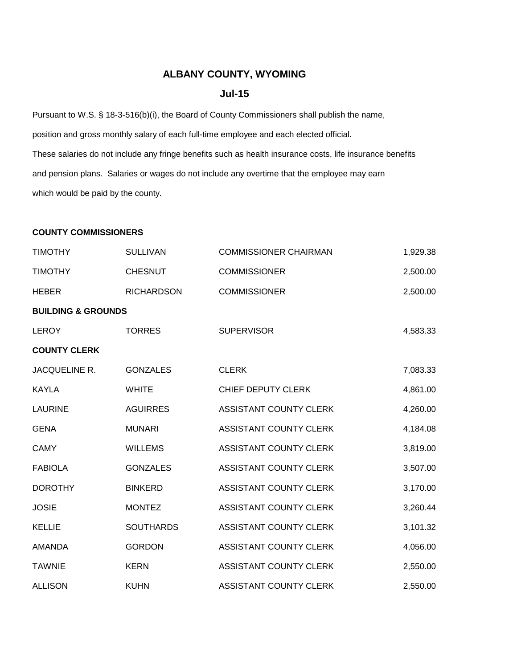## **ALBANY COUNTY, WYOMING**

## **Jul-15**

Pursuant to W.S. § 18-3-516(b)(i), the Board of County Commissioners shall publish the name, position and gross monthly salary of each full-time employee and each elected official. These salaries do not include any fringe benefits such as health insurance costs, life insurance benefits and pension plans. Salaries or wages do not include any overtime that the employee may earn which would be paid by the county.

## **COUNTY COMMISSIONERS**

| <b>TIMOTHY</b>                | <b>SULLIVAN</b>   | <b>COMMISSIONER CHAIRMAN</b> | 1,929.38 |
|-------------------------------|-------------------|------------------------------|----------|
| <b>TIMOTHY</b>                | <b>CHESNUT</b>    | <b>COMMISSIONER</b>          | 2,500.00 |
| <b>HEBER</b>                  | <b>RICHARDSON</b> | <b>COMMISSIONER</b>          | 2,500.00 |
| <b>BUILDING &amp; GROUNDS</b> |                   |                              |          |
| <b>LEROY</b>                  | <b>TORRES</b>     | <b>SUPERVISOR</b>            | 4,583.33 |
| <b>COUNTY CLERK</b>           |                   |                              |          |
| JACQUELINE R.                 | <b>GONZALES</b>   | <b>CLERK</b>                 | 7,083.33 |
| <b>KAYLA</b>                  | <b>WHITE</b>      | CHIEF DEPUTY CLERK           | 4,861.00 |
| <b>LAURINE</b>                | <b>AGUIRRES</b>   | ASSISTANT COUNTY CLERK       | 4,260.00 |
| <b>GENA</b>                   | <b>MUNARI</b>     | ASSISTANT COUNTY CLERK       | 4,184.08 |
| <b>CAMY</b>                   | <b>WILLEMS</b>    | ASSISTANT COUNTY CLERK       | 3,819.00 |
| <b>FABIOLA</b>                | <b>GONZALES</b>   | ASSISTANT COUNTY CLERK       | 3,507.00 |
| <b>DOROTHY</b>                | <b>BINKERD</b>    | ASSISTANT COUNTY CLERK       | 3,170.00 |
| <b>JOSIE</b>                  | <b>MONTEZ</b>     | ASSISTANT COUNTY CLERK       | 3,260.44 |
| <b>KELLIE</b>                 | <b>SOUTHARDS</b>  | ASSISTANT COUNTY CLERK       | 3,101.32 |
| <b>AMANDA</b>                 | <b>GORDON</b>     | ASSISTANT COUNTY CLERK       | 4,056.00 |
| <b>TAWNIE</b>                 | <b>KERN</b>       | ASSISTANT COUNTY CLERK       | 2,550.00 |
| <b>ALLISON</b>                | <b>KUHN</b>       | ASSISTANT COUNTY CLERK       | 2,550.00 |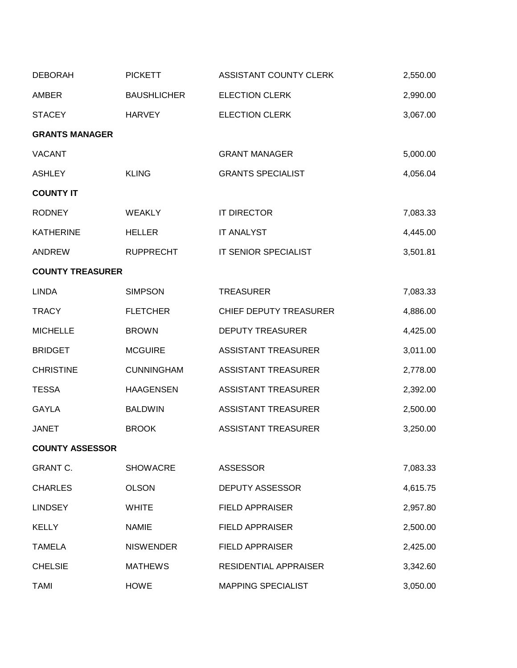| <b>DEBORAH</b>          | <b>PICKETT</b>     | ASSISTANT COUNTY CLERK        | 2,550.00 |
|-------------------------|--------------------|-------------------------------|----------|
| <b>AMBER</b>            | <b>BAUSHLICHER</b> | <b>ELECTION CLERK</b>         | 2,990.00 |
| <b>STACEY</b>           | <b>HARVEY</b>      | <b>ELECTION CLERK</b>         | 3,067.00 |
| <b>GRANTS MANAGER</b>   |                    |                               |          |
| <b>VACANT</b>           |                    | <b>GRANT MANAGER</b>          | 5,000.00 |
| <b>ASHLEY</b>           | <b>KLING</b>       | <b>GRANTS SPECIALIST</b>      | 4,056.04 |
| <b>COUNTY IT</b>        |                    |                               |          |
| <b>RODNEY</b>           | <b>WEAKLY</b>      | <b>IT DIRECTOR</b>            | 7,083.33 |
| <b>KATHERINE</b>        | <b>HELLER</b>      | <b>IT ANALYST</b>             | 4,445.00 |
| <b>ANDREW</b>           | <b>RUPPRECHT</b>   | IT SENIOR SPECIALIST          | 3,501.81 |
| <b>COUNTY TREASURER</b> |                    |                               |          |
| <b>LINDA</b>            | <b>SIMPSON</b>     | <b>TREASURER</b>              | 7,083.33 |
| <b>TRACY</b>            | <b>FLETCHER</b>    | <b>CHIEF DEPUTY TREASURER</b> | 4,886.00 |
| <b>MICHELLE</b>         | <b>BROWN</b>       | <b>DEPUTY TREASURER</b>       | 4,425.00 |
| <b>BRIDGET</b>          | <b>MCGUIRE</b>     | <b>ASSISTANT TREASURER</b>    | 3,011.00 |
| <b>CHRISTINE</b>        | <b>CUNNINGHAM</b>  | <b>ASSISTANT TREASURER</b>    | 2,778.00 |
| <b>TESSA</b>            | <b>HAAGENSEN</b>   | <b>ASSISTANT TREASURER</b>    | 2,392.00 |
| <b>GAYLA</b>            | <b>BALDWIN</b>     | <b>ASSISTANT TREASURER</b>    | 2,500.00 |
| <b>JANET</b>            | <b>BROOK</b>       | <b>ASSISTANT TREASURER</b>    | 3,250.00 |
| <b>COUNTY ASSESSOR</b>  |                    |                               |          |
| <b>GRANT C.</b>         | <b>SHOWACRE</b>    | <b>ASSESSOR</b>               | 7,083.33 |
| <b>CHARLES</b>          | <b>OLSON</b>       | <b>DEPUTY ASSESSOR</b>        | 4,615.75 |
| <b>LINDSEY</b>          | <b>WHITE</b>       | <b>FIELD APPRAISER</b>        | 2,957.80 |
| <b>KELLY</b>            | <b>NAMIE</b>       | <b>FIELD APPRAISER</b>        | 2,500.00 |
| <b>TAMELA</b>           | <b>NISWENDER</b>   | <b>FIELD APPRAISER</b>        | 2,425.00 |
| <b>CHELSIE</b>          | <b>MATHEWS</b>     | <b>RESIDENTIAL APPRAISER</b>  | 3,342.60 |
| <b>TAMI</b>             | <b>HOWE</b>        | <b>MAPPING SPECIALIST</b>     | 3,050.00 |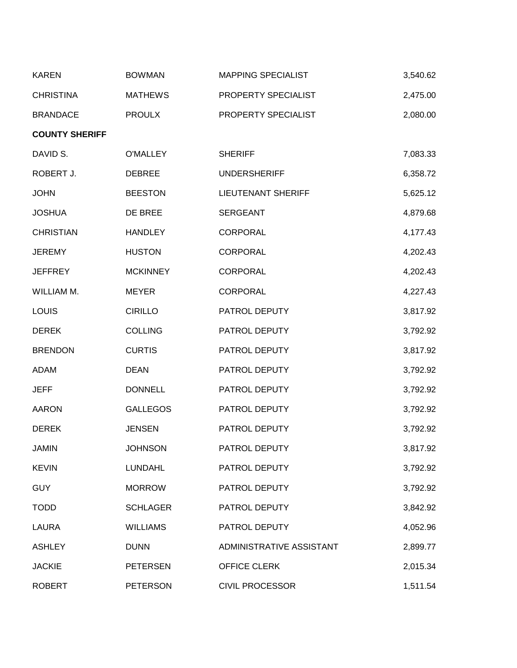| <b>KAREN</b>          | <b>BOWMAN</b>   | <b>MAPPING SPECIALIST</b> | 3,540.62 |
|-----------------------|-----------------|---------------------------|----------|
| <b>CHRISTINA</b>      | <b>MATHEWS</b>  | PROPERTY SPECIALIST       | 2,475.00 |
| <b>BRANDACE</b>       | <b>PROULX</b>   | PROPERTY SPECIALIST       | 2,080.00 |
| <b>COUNTY SHERIFF</b> |                 |                           |          |
| DAVID S.              | <b>O'MALLEY</b> | <b>SHERIFF</b>            | 7,083.33 |
| ROBERT J.             | <b>DEBREE</b>   | <b>UNDERSHERIFF</b>       | 6,358.72 |
| <b>JOHN</b>           | <b>BEESTON</b>  | <b>LIEUTENANT SHERIFF</b> | 5,625.12 |
| <b>JOSHUA</b>         | DE BREE         | <b>SERGEANT</b>           | 4,879.68 |
| <b>CHRISTIAN</b>      | <b>HANDLEY</b>  | <b>CORPORAL</b>           | 4,177.43 |
| <b>JEREMY</b>         | <b>HUSTON</b>   | <b>CORPORAL</b>           | 4,202.43 |
| <b>JEFFREY</b>        | <b>MCKINNEY</b> | <b>CORPORAL</b>           | 4,202.43 |
| WILLIAM M.            | <b>MEYER</b>    | <b>CORPORAL</b>           | 4,227.43 |
| <b>LOUIS</b>          | <b>CIRILLO</b>  | PATROL DEPUTY             | 3,817.92 |
| <b>DEREK</b>          | <b>COLLING</b>  | PATROL DEPUTY             | 3,792.92 |
| <b>BRENDON</b>        | <b>CURTIS</b>   | PATROL DEPUTY             | 3,817.92 |
| <b>ADAM</b>           | <b>DEAN</b>     | PATROL DEPUTY             | 3,792.92 |
| <b>JEFF</b>           | <b>DONNELL</b>  | PATROL DEPUTY             | 3,792.92 |
| <b>AARON</b>          | <b>GALLEGOS</b> | PATROL DEPUTY             | 3,792.92 |
| <b>DEREK</b>          | <b>JENSEN</b>   | PATROL DEPUTY             | 3,792.92 |
| <b>JAMIN</b>          | <b>JOHNSON</b>  | PATROL DEPUTY             | 3,817.92 |
| <b>KEVIN</b>          | <b>LUNDAHL</b>  | PATROL DEPUTY             | 3,792.92 |
| <b>GUY</b>            | <b>MORROW</b>   | PATROL DEPUTY             | 3,792.92 |
| <b>TODD</b>           | <b>SCHLAGER</b> | PATROL DEPUTY             | 3,842.92 |
| LAURA                 | <b>WILLIAMS</b> | PATROL DEPUTY             | 4,052.96 |
| <b>ASHLEY</b>         | <b>DUNN</b>     | ADMINISTRATIVE ASSISTANT  | 2,899.77 |
| <b>JACKIE</b>         | <b>PETERSEN</b> | OFFICE CLERK              | 2,015.34 |
| <b>ROBERT</b>         | <b>PETERSON</b> | <b>CIVIL PROCESSOR</b>    | 1,511.54 |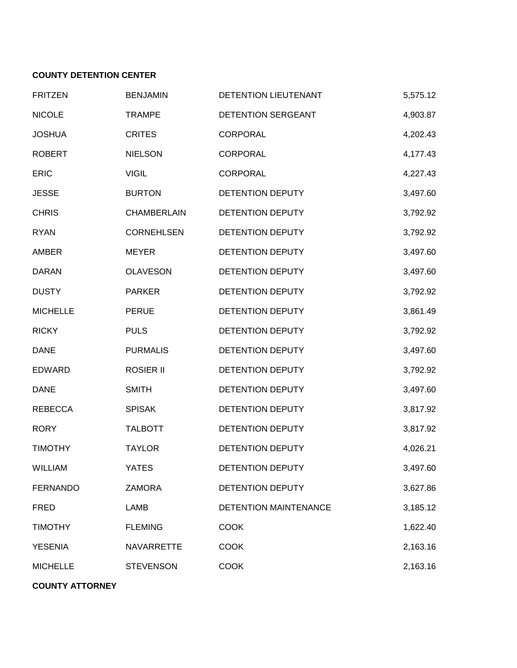## **COUNTY DETENTION CENTER**

| <b>FRITZEN</b>  | <b>BENJAMIN</b>   | DETENTION LIEUTENANT         | 5,575.12 |
|-----------------|-------------------|------------------------------|----------|
| <b>NICOLE</b>   | <b>TRAMPE</b>     | DETENTION SERGEANT           | 4,903.87 |
| <b>JOSHUA</b>   | <b>CRITES</b>     | CORPORAL                     | 4,202.43 |
| <b>ROBERT</b>   | <b>NIELSON</b>    | <b>CORPORAL</b>              | 4,177.43 |
| <b>ERIC</b>     | <b>VIGIL</b>      | <b>CORPORAL</b>              | 4,227.43 |
| <b>JESSE</b>    | <b>BURTON</b>     | DETENTION DEPUTY             | 3,497.60 |
| <b>CHRIS</b>    | CHAMBERLAIN       | DETENTION DEPUTY             | 3,792.92 |
| <b>RYAN</b>     | <b>CORNEHLSEN</b> | DETENTION DEPUTY             | 3,792.92 |
| <b>AMBER</b>    | <b>MEYER</b>      | DETENTION DEPUTY             | 3,497.60 |
| <b>DARAN</b>    | <b>OLAVESON</b>   | DETENTION DEPUTY             | 3,497.60 |
| <b>DUSTY</b>    | <b>PARKER</b>     | DETENTION DEPUTY             | 3,792.92 |
| <b>MICHELLE</b> | <b>PERUE</b>      | DETENTION DEPUTY             | 3,861.49 |
| <b>RICKY</b>    | <b>PULS</b>       | <b>DETENTION DEPUTY</b>      | 3,792.92 |
| <b>DANE</b>     | <b>PURMALIS</b>   | DETENTION DEPUTY             | 3,497.60 |
| <b>EDWARD</b>   | <b>ROSIER II</b>  | DETENTION DEPUTY             | 3,792.92 |
| <b>DANE</b>     | <b>SMITH</b>      | DETENTION DEPUTY             | 3,497.60 |
| <b>REBECCA</b>  | <b>SPISAK</b>     | DETENTION DEPUTY             | 3,817.92 |
| <b>RORY</b>     | <b>TALBOTT</b>    | DETENTION DEPUTY             | 3,817.92 |
| <b>TIMOTHY</b>  | <b>TAYLOR</b>     | DETENTION DEPUTY             | 4,026.21 |
| WILLIAM         | <b>YATES</b>      | DETENTION DEPUTY             | 3,497.60 |
| <b>FERNANDO</b> | ZAMORA            | DETENTION DEPUTY             | 3,627.86 |
| <b>FRED</b>     | <b>LAMB</b>       | <b>DETENTION MAINTENANCE</b> | 3,185.12 |
| <b>TIMOTHY</b>  | <b>FLEMING</b>    | <b>COOK</b>                  | 1,622.40 |
| <b>YESENIA</b>  | <b>NAVARRETTE</b> | <b>COOK</b>                  | 2,163.16 |
| <b>MICHELLE</b> | <b>STEVENSON</b>  | <b>COOK</b>                  | 2,163.16 |

**COUNTY ATTORNEY**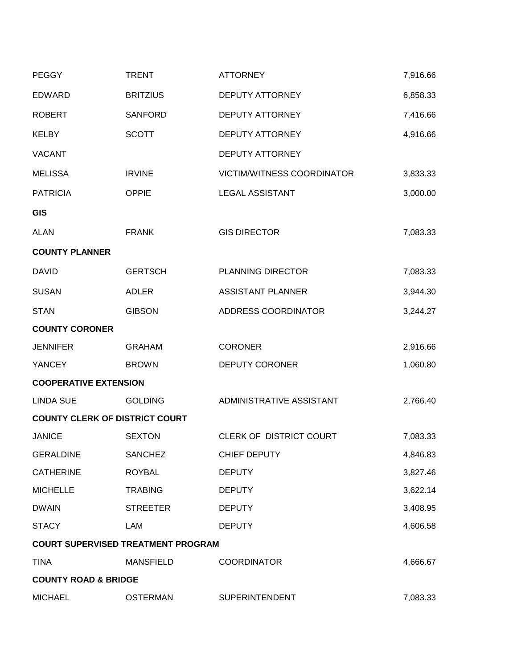| <b>PEGGY</b>                          | <b>TRENT</b>                              | <b>ATTORNEY</b>            | 7,916.66 |
|---------------------------------------|-------------------------------------------|----------------------------|----------|
| <b>EDWARD</b>                         | <b>BRITZIUS</b>                           | <b>DEPUTY ATTORNEY</b>     | 6,858.33 |
| <b>ROBERT</b>                         | <b>SANFORD</b>                            | DEPUTY ATTORNEY            | 7,416.66 |
| <b>KELBY</b>                          | <b>SCOTT</b>                              | DEPUTY ATTORNEY            | 4,916.66 |
| <b>VACANT</b>                         |                                           | <b>DEPUTY ATTORNEY</b>     |          |
| <b>MELISSA</b>                        | <b>IRVINE</b>                             | VICTIM/WITNESS COORDINATOR | 3,833.33 |
| <b>PATRICIA</b>                       | <b>OPPIE</b>                              | <b>LEGAL ASSISTANT</b>     | 3,000.00 |
| <b>GIS</b>                            |                                           |                            |          |
| <b>ALAN</b>                           | <b>FRANK</b>                              | <b>GIS DIRECTOR</b>        | 7,083.33 |
| <b>COUNTY PLANNER</b>                 |                                           |                            |          |
| <b>DAVID</b>                          | <b>GERTSCH</b>                            | PLANNING DIRECTOR          | 7,083.33 |
| <b>SUSAN</b>                          | <b>ADLER</b>                              | <b>ASSISTANT PLANNER</b>   | 3,944.30 |
| <b>STAN</b>                           | <b>GIBSON</b>                             | ADDRESS COORDINATOR        | 3,244.27 |
| <b>COUNTY CORONER</b>                 |                                           |                            |          |
| <b>JENNIFER</b>                       | <b>GRAHAM</b>                             | <b>CORONER</b>             | 2,916.66 |
| <b>YANCEY</b>                         | <b>BROWN</b>                              | <b>DEPUTY CORONER</b>      | 1,060.80 |
| <b>COOPERATIVE EXTENSION</b>          |                                           |                            |          |
| <b>LINDA SUE</b>                      | <b>GOLDING</b>                            | ADMINISTRATIVE ASSISTANT   | 2,766.40 |
| <b>COUNTY CLERK OF DISTRICT COURT</b> |                                           |                            |          |
| <b>JANICE</b>                         | <b>SEXTON</b>                             | CLERK OF DISTRICT COURT    | 7,083.33 |
| <b>GERALDINE</b>                      | <b>SANCHEZ</b>                            | CHIEF DEPUTY               | 4,846.83 |
| <b>CATHERINE</b>                      | <b>ROYBAL</b>                             | <b>DEPUTY</b>              | 3,827.46 |
| <b>MICHELLE</b>                       | <b>TRABING</b>                            | <b>DEPUTY</b>              | 3,622.14 |
| <b>DWAIN</b>                          | <b>STREETER</b>                           | <b>DEPUTY</b>              | 3,408.95 |
| <b>STACY</b>                          | LAM                                       | <b>DEPUTY</b>              | 4,606.58 |
|                                       | <b>COURT SUPERVISED TREATMENT PROGRAM</b> |                            |          |
| <b>TINA</b>                           | <b>MANSFIELD</b>                          | <b>COORDINATOR</b>         | 4,666.67 |
| <b>COUNTY ROAD &amp; BRIDGE</b>       |                                           |                            |          |
| <b>MICHAEL</b>                        | <b>OSTERMAN</b>                           | <b>SUPERINTENDENT</b>      | 7,083.33 |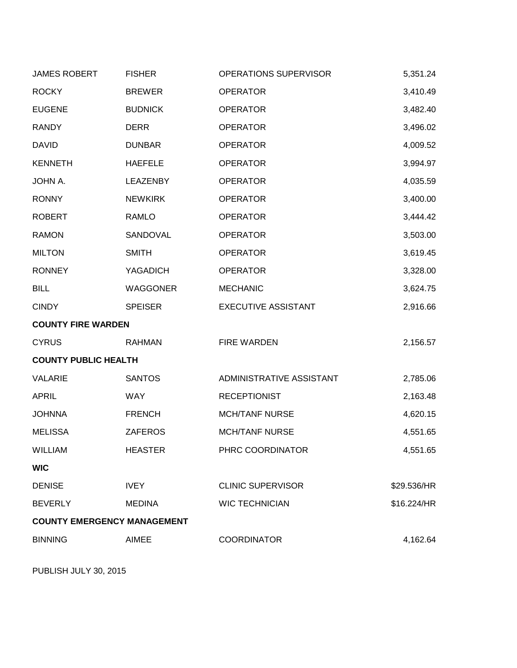| <b>JAMES ROBERT</b>                | <b>FISHER</b>  | OPERATIONS SUPERVISOR      | 5,351.24    |
|------------------------------------|----------------|----------------------------|-------------|
| <b>ROCKY</b>                       | <b>BREWER</b>  | <b>OPERATOR</b>            | 3,410.49    |
| <b>EUGENE</b>                      | <b>BUDNICK</b> | <b>OPERATOR</b>            | 3,482.40    |
| <b>RANDY</b>                       | <b>DERR</b>    | <b>OPERATOR</b>            | 3,496.02    |
| <b>DAVID</b>                       | <b>DUNBAR</b>  | <b>OPERATOR</b>            | 4,009.52    |
| <b>KENNETH</b>                     | <b>HAEFELE</b> | <b>OPERATOR</b>            | 3,994.97    |
| JOHN A.                            | LEAZENBY       | <b>OPERATOR</b>            | 4,035.59    |
| <b>RONNY</b>                       | <b>NEWKIRK</b> | <b>OPERATOR</b>            | 3,400.00    |
| <b>ROBERT</b>                      | RAMLO          | <b>OPERATOR</b>            | 3,444.42    |
| <b>RAMON</b>                       | SANDOVAL       | <b>OPERATOR</b>            | 3,503.00    |
| <b>MILTON</b>                      | <b>SMITH</b>   | <b>OPERATOR</b>            | 3,619.45    |
| <b>RONNEY</b>                      | YAGADICH       | <b>OPERATOR</b>            | 3,328.00    |
| <b>BILL</b>                        | WAGGONER       | <b>MECHANIC</b>            | 3,624.75    |
| <b>CINDY</b>                       | <b>SPEISER</b> | <b>EXECUTIVE ASSISTANT</b> | 2,916.66    |
| <b>COUNTY FIRE WARDEN</b>          |                |                            |             |
| <b>CYRUS</b>                       | <b>RAHMAN</b>  | <b>FIRE WARDEN</b>         | 2,156.57    |
| <b>COUNTY PUBLIC HEALTH</b>        |                |                            |             |
| <b>VALARIE</b>                     | <b>SANTOS</b>  | ADMINISTRATIVE ASSISTANT   | 2,785.06    |
| <b>APRIL</b>                       | <b>WAY</b>     | <b>RECEPTIONIST</b>        | 2,163.48    |
| <b>JOHNNA</b>                      | <b>FRENCH</b>  | <b>MCH/TANF NURSE</b>      | 4,620.15    |
| <b>MELISSA</b>                     | <b>ZAFEROS</b> | <b>MCH/TANF NURSE</b>      | 4,551.65    |
| <b>WILLIAM</b>                     | <b>HEASTER</b> | PHRC COORDINATOR           | 4,551.65    |
| <b>WIC</b>                         |                |                            |             |
| <b>DENISE</b>                      | <b>IVEY</b>    | <b>CLINIC SUPERVISOR</b>   | \$29.536/HR |
| <b>BEVERLY</b>                     | <b>MEDINA</b>  | <b>WIC TECHNICIAN</b>      | \$16.224/HR |
| <b>COUNTY EMERGENCY MANAGEMENT</b> |                |                            |             |
| <b>BINNING</b>                     | <b>AIMEE</b>   | <b>COORDINATOR</b>         | 4,162.64    |

PUBLISH JULY 30, 2015